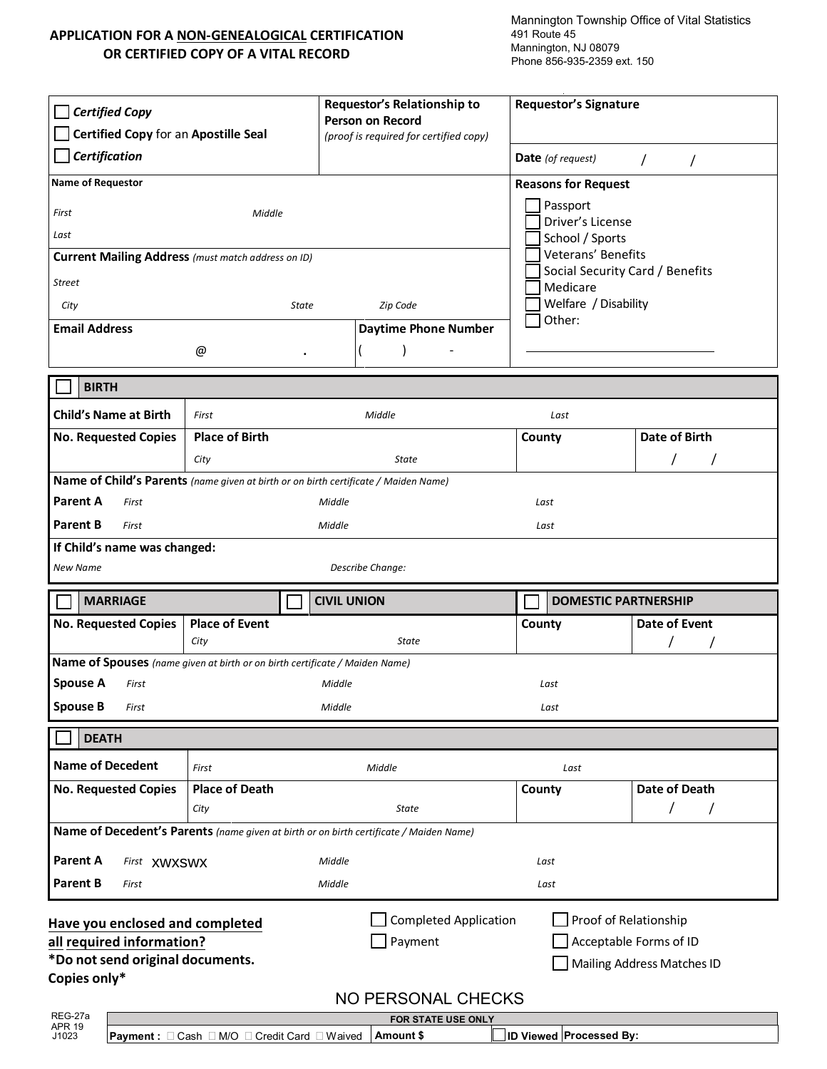## **APPLICATION FOR A NON-GENEALOGICAL CERTIFICATION OR CERTIFIED COPY OF A VITAL RECORD**

Mannington Township Office of Vital Statistics 491 Route 45 Mannington, NJ 08079 Phone 856-935-2359 ext. 150

| <b>Certified Copy</b><br>Certified Copy for an Apostille Seal<br>Certification                          |                       | Requestor's Relationship to<br><b>Person on Record</b><br>(proof is required for certified copy) |                                          | <b>Requestor's Signature</b> |                            |  |
|---------------------------------------------------------------------------------------------------------|-----------------------|--------------------------------------------------------------------------------------------------|------------------------------------------|------------------------------|----------------------------|--|
|                                                                                                         |                       |                                                                                                  |                                          | <b>Date</b> (of request)     | $\prime$<br>$\prime$       |  |
| <b>Name of Requestor</b><br><b>Reasons for Request</b>                                                  |                       |                                                                                                  |                                          |                              |                            |  |
| First<br>Middle                                                                                         |                       |                                                                                                  |                                          | Passport<br>Driver's License |                            |  |
| Last                                                                                                    |                       |                                                                                                  |                                          | School / Sports              |                            |  |
| Current Mailing Address (must match address on ID)                                                      |                       | Veterans' Benefits                                                                               |                                          |                              |                            |  |
| <b>Street</b>                                                                                           |                       | Medicare                                                                                         | Social Security Card / Benefits          |                              |                            |  |
| City<br><b>State</b>                                                                                    |                       |                                                                                                  | Zip Code                                 | Welfare / Disability         |                            |  |
| <b>Email Address</b>                                                                                    |                       |                                                                                                  | <b>Daytime Phone Number</b>              | Other:                       |                            |  |
|                                                                                                         | @<br>$\bullet$        |                                                                                                  |                                          |                              |                            |  |
|                                                                                                         |                       |                                                                                                  |                                          |                              |                            |  |
| <b>BIRTH</b>                                                                                            |                       |                                                                                                  |                                          |                              |                            |  |
| <b>Child's Name at Birth</b>                                                                            | First                 | Middle                                                                                           |                                          | Last                         |                            |  |
| <b>No. Requested Copies</b>                                                                             | <b>Place of Birth</b> |                                                                                                  |                                          | County                       | Date of Birth              |  |
|                                                                                                         | City                  |                                                                                                  | State                                    |                              |                            |  |
| Name of Child's Parents (name given at birth or on birth certificate / Maiden Name)                     |                       |                                                                                                  |                                          |                              |                            |  |
| <b>Parent A</b><br>First                                                                                |                       | Middle                                                                                           |                                          | Last                         |                            |  |
| Parent B<br>First                                                                                       |                       | Middle                                                                                           |                                          | Last                         |                            |  |
| If Child's name was changed:                                                                            |                       |                                                                                                  |                                          |                              |                            |  |
| Describe Change:<br>New Name                                                                            |                       |                                                                                                  |                                          |                              |                            |  |
|                                                                                                         |                       |                                                                                                  |                                          |                              |                            |  |
| <b>MARRIAGE</b>                                                                                         |                       | <b>CIVIL UNION</b>                                                                               |                                          | <b>DOMESTIC PARTNERSHIP</b>  |                            |  |
| <b>No. Requested Copies</b>                                                                             | <b>Place of Event</b> |                                                                                                  | State                                    | County                       | <b>Date of Event</b>       |  |
|                                                                                                         | City                  |                                                                                                  |                                          |                              |                            |  |
| Name of Spouses (name given at birth or on birth certificate / Maiden Name)<br><b>Spouse A</b><br>First |                       | Middle                                                                                           |                                          | Last                         |                            |  |
| <b>Spouse B</b><br>First                                                                                |                       | Middle                                                                                           |                                          | Last                         |                            |  |
|                                                                                                         |                       |                                                                                                  |                                          |                              |                            |  |
| <b>DEATH</b>                                                                                            |                       |                                                                                                  |                                          |                              |                            |  |
| <b>Name of Decedent</b>                                                                                 | First                 |                                                                                                  | Middle                                   | Last                         |                            |  |
| <b>No. Requested Copies</b>                                                                             | <b>Place of Death</b> |                                                                                                  |                                          | County                       | Date of Death              |  |
|                                                                                                         | City                  |                                                                                                  | <b>State</b>                             |                              | $\sqrt{2}$                 |  |
| Name of Decedent's Parents (name given at birth or on birth certificate / Maiden Name)                  |                       |                                                                                                  |                                          |                              |                            |  |
| Parent A<br>First XWXSWX                                                                                |                       | Middle                                                                                           |                                          | Last                         |                            |  |
| Parent B<br>First                                                                                       |                       | Middle                                                                                           |                                          | Last                         |                            |  |
|                                                                                                         |                       |                                                                                                  | <b>Completed Application</b>             |                              | Proof of Relationship      |  |
| Have you enclosed and completed<br>all required information?                                            |                       |                                                                                                  | Payment                                  |                              | Acceptable Forms of ID     |  |
| *Do not send original documents.                                                                        |                       |                                                                                                  |                                          |                              | Mailing Address Matches ID |  |
| Copies only*                                                                                            |                       |                                                                                                  |                                          |                              |                            |  |
| REG-27a                                                                                                 |                       |                                                                                                  | NO PERSONAL CHECKS<br>FOR STATE USE ONLY |                              |                            |  |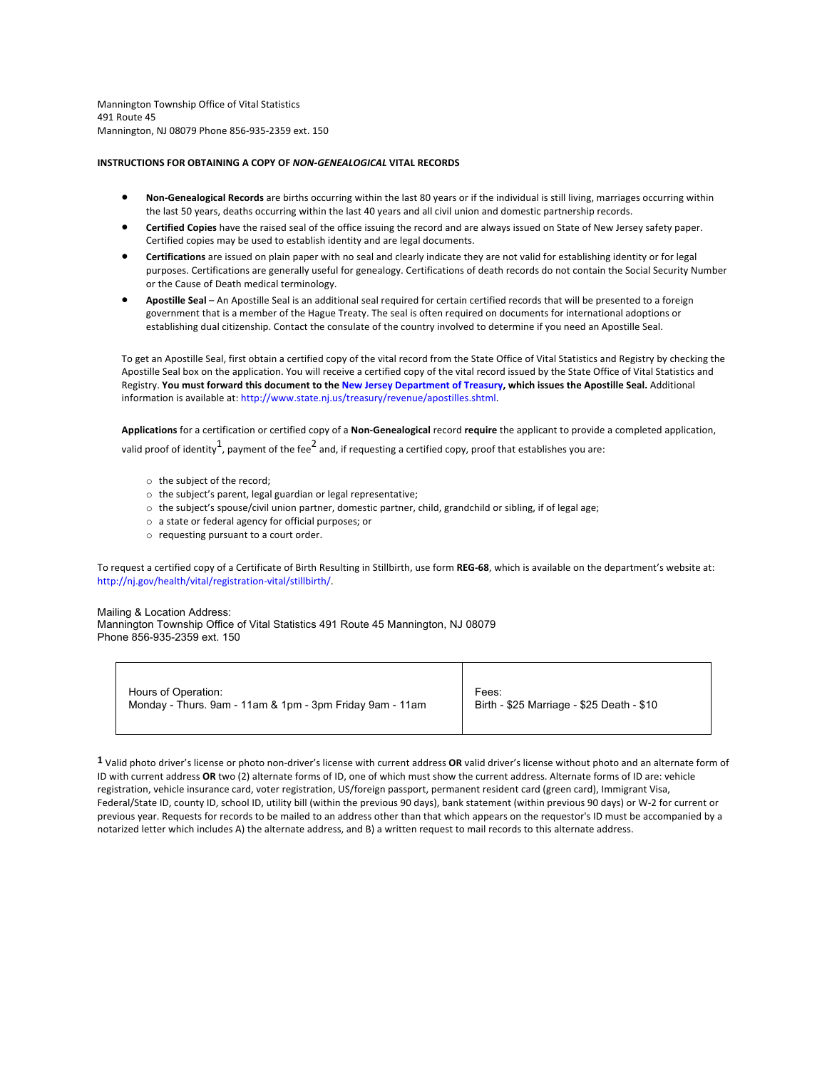Mannington Township Office of Vital Statistics 491 Route 45 Mannington, NJ 08079 Phone 856-935-2359 ext. 150

## **INSTRUCTIONS FOR OBTAINING A COPY OF** *NON-GENEALOGICAL* **VITAL RECORDS**

- **Non-Genealogical Records** are births occurring within the last 80 years or if the individual is still living, marriages occurring within the last 50 years, deaths occurring within the last 40 years and all civil union and domestic partnership records.
- **Certified Copies** have the raised seal of the office issuing the record and are always issued on State of New Jersey safety paper. Certified copies may be used to establish identity and are legal documents.
- **Certifications** are issued on plain paper with no seal and clearly indicate they are not valid for establishing identity or for legal purposes. Certifications are generally useful for genealogy. Certifications of death records do not contain the Social Security Number or the Cause of Death medical terminology.
- **Apostille Seal**  An Apostille Seal is an additional seal required for certain certified records that will be presented to a foreign government that is a member of the Hague Treaty. The seal is often required on documents for international adoptions or establishing dual citizenship. Contact the consulate of the country involved to determine if you need an Apostille Seal.

To get an Apostille Seal, first obtain a certified copy of the vital record from the State Office of Vital Statistics and Registry by checking the Apostille Seal box on the application. You will receive a certified copy of the vital record issued by the State Office of Vital Statistics and Registry. **You must forward this document to the New Jersey Department of Treasury, which issues the Apostille Seal.** Additional information is available at: http://www.state.nj.us/treasury/revenue/apostilles.shtml.

**Applications** for a certification or certified copy of a **Non-Genealogical** record **require** the applicant to provide a completed application, valid proof of identity $^1$ , payment of the fee $^2$  and, if requesting a certified copy, proof that establishes you are:

- o the subject of the record;
- o the subject's parent, legal guardian or legal representative;
- o the subject's spouse/civil union partner, domestic partner, child, grandchild or sibling, if of legal age;
- o a state or federal agency for official purposes; or
- o requesting pursuant to a court order.

To request a certified copy of a Certificate of Birth Resulting in Stillbirth, use form **REG-68**, which is available on the department's website at: http://nj.gov/health/vital/registration-vital/stillbirth/.

## Mailing & Location Address:

Mannington Township Office of Vital Statistics 491 Route 45 Mannington, NJ 08079 Phone 856-935-2359 ext. 150

| Hours of Operation:                                      | Fees:                                     |
|----------------------------------------------------------|-------------------------------------------|
| Monday - Thurs. 9am - 11am & 1pm - 3pm Friday 9am - 11am | Birth - \$25 Marriage - \$25 Death - \$10 |

**1** Valid photo driver's license or photo non-driver's license with current address **OR** valid driver's license without photo and an alternate form of ID with current address **OR** two (2) alternate forms of ID, one of which must show the current address. Alternate forms of ID are: vehicle registration, vehicle insurance card, voter registration, US/foreign passport, permanent resident card (green card), Immigrant Visa, Federal/State ID, county ID, school ID, utility bill (within the previous 90 days), bank statement (within previous 90 days) or W-2 for current or previous year. Requests for records to be mailed to an address other than that which appears on the requestor's ID must be accompanied by a notarized letter which includes A) the alternate address, and B) a written request to mail records to this alternate address.